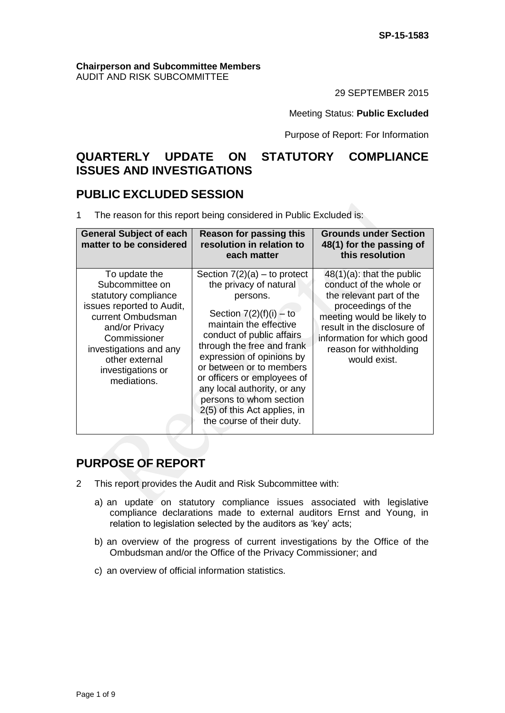#### **Chairperson and Subcommittee Members** AUDIT AND RISK SUBCOMMITTEE

29 SEPTEMBER 2015

#### Meeting Status: **Public Excluded**

Purpose of Report: For Information

# **QUARTERLY UPDATE ON STATUTORY COMPLIANCE ISSUES AND INVESTIGATIONS**

## **PUBLIC EXCLUDED SESSION**

1 The reason for this report being considered in Public Excluded is:

| <b>General Subject of each</b><br>matter to be considered                                                                                                                                                                    | <b>Reason for passing this</b><br>resolution in relation to<br>each matter                                                                                                                                                                                                                                                                                                                            | <b>Grounds under Section</b><br>48(1) for the passing of<br>this resolution                                                                                                                                                                    |
|------------------------------------------------------------------------------------------------------------------------------------------------------------------------------------------------------------------------------|-------------------------------------------------------------------------------------------------------------------------------------------------------------------------------------------------------------------------------------------------------------------------------------------------------------------------------------------------------------------------------------------------------|------------------------------------------------------------------------------------------------------------------------------------------------------------------------------------------------------------------------------------------------|
| To update the<br>Subcommittee on<br>statutory compliance<br>issues reported to Audit,<br>current Ombudsman<br>and/or Privacy<br>Commissioner<br>investigations and any<br>other external<br>investigations or<br>mediations. | Section $7(2)(a)$ – to protect<br>the privacy of natural<br>persons.<br>Section $7(2)(f)(i) - to$<br>maintain the effective<br>conduct of public affairs<br>through the free and frank<br>expression of opinions by<br>or between or to members<br>or officers or employees of<br>any local authority, or any<br>persons to whom section<br>2(5) of this Act applies, in<br>the course of their duty. | $48(1)(a)$ : that the public<br>conduct of the whole or<br>the relevant part of the<br>proceedings of the<br>meeting would be likely to<br>result in the disclosure of<br>information for which good<br>reason for withholding<br>would exist. |

# **PURPOSE OF REPORT**

- 2 This report provides the Audit and Risk Subcommittee with:
	- a) an update on statutory compliance issues associated with legislative compliance declarations made to external auditors Ernst and Young, in relation to legislation selected by the auditors as 'key' acts;
	- b) an overview of the progress of current investigations by the Office of the Ombudsman and/or the Office of the Privacy Commissioner; and
	- c) an overview of official information statistics.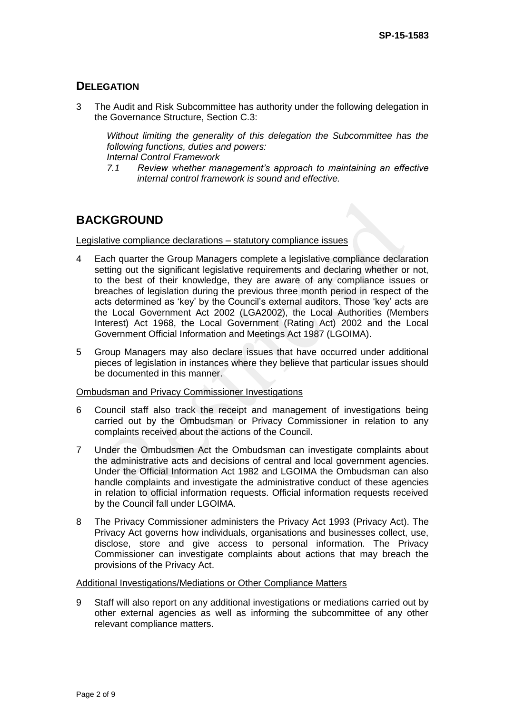## **DELEGATION**

3 The Audit and Risk Subcommittee has authority under the following delegation in the Governance Structure, Section C.3:

*Without limiting the generality of this delegation the Subcommittee has the following functions, duties and powers:*

*Internal Control Framework* 

*7.1 Review whether management's approach to maintaining an effective internal control framework is sound and effective.*

# **BACKGROUND**

Legislative compliance declarations – statutory compliance issues

- 4 Each quarter the Group Managers complete a legislative compliance declaration setting out the significant legislative requirements and declaring whether or not, to the best of their knowledge, they are aware of any compliance issues or breaches of legislation during the previous three month period in respect of the acts determined as 'key' by the Council's external auditors. Those 'key' acts are the Local Government Act 2002 (LGA2002), the Local Authorities (Members Interest) Act 1968, the Local Government (Rating Act) 2002 and the Local Government Official Information and Meetings Act 1987 (LGOIMA).
- 5 Group Managers may also declare issues that have occurred under additional pieces of legislation in instances where they believe that particular issues should be documented in this manner.

#### Ombudsman and Privacy Commissioner Investigations

- 6 Council staff also track the receipt and management of investigations being carried out by the Ombudsman or Privacy Commissioner in relation to any complaints received about the actions of the Council.
- 7 Under the Ombudsmen Act the Ombudsman can investigate complaints about the administrative acts and decisions of central and local government agencies. Under the Official Information Act 1982 and LGOIMA the Ombudsman can also handle complaints and investigate the administrative conduct of these agencies in relation to official information requests. Official information requests received by the Council fall under LGOIMA.
- 8 The Privacy Commissioner administers the Privacy Act 1993 (Privacy Act). The Privacy Act governs how individuals, organisations and businesses collect, use, disclose, store and give access to personal information. The Privacy Commissioner can investigate complaints about actions that may breach the provisions of the Privacy Act.

#### Additional Investigations/Mediations or Other Compliance Matters

9 Staff will also report on any additional investigations or mediations carried out by other external agencies as well as informing the subcommittee of any other relevant compliance matters.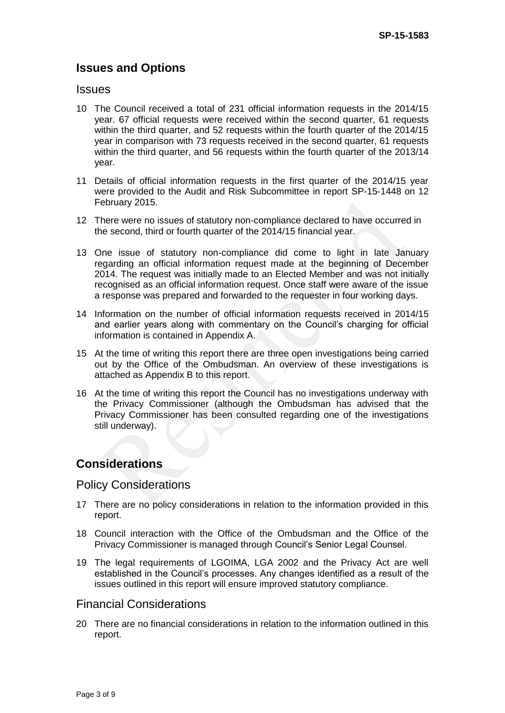# **Issues and Options**

#### **Issues**

- 10 The Council received a total of 231 official information requests in the 2014/15 year. 67 official requests were received within the second quarter, 61 requests within the third quarter, and 52 requests within the fourth quarter of the 2014/15 year in comparison with 73 requests received in the second quarter, 61 requests within the third quarter, and 56 requests within the fourth quarter of the 2013/14 year.
- 11 Details of official information requests in the first quarter of the 2014/15 year were provided to the Audit and Risk Subcommittee in report SP-15-1448 on 12 February 2015.
- 12 There were no issues of statutory non-compliance declared to have occurred in the second, third or fourth quarter of the 2014/15 financial year.
- 13 One issue of statutory non-compliance did come to light in late January regarding an official information request made at the beginning of December 2014. The request was initially made to an Elected Member and was not initially recognised as an official information request. Once staff were aware of the issue a response was prepared and forwarded to the requester in four working days.
- 14 Information on the number of official information requests received in 2014/15 and earlier years along with commentary on the Council's charging for official information is contained in Appendix A.
- 15 At the time of writing this report there are three open investigations being carried out by the Office of the Ombudsman. An overview of these investigations is attached as Appendix B to this report.
- 16 At the time of writing this report the Council has no investigations underway with the Privacy Commissioner (although the Ombudsman has advised that the Privacy Commissioner has been consulted regarding one of the investigations still underway).

## **Considerations**

## Policy Considerations

- 17 There are no policy considerations in relation to the information provided in this report.
- 18 Council interaction with the Office of the Ombudsman and the Office of the Privacy Commissioner is managed through Council's Senior Legal Counsel.
- 19 The legal requirements of LGOIMA, LGA 2002 and the Privacy Act are well established in the Council's processes. Any changes identified as a result of the issues outlined in this report will ensure improved statutory compliance.

## Financial Considerations

20 There are no financial considerations in relation to the information outlined in this report.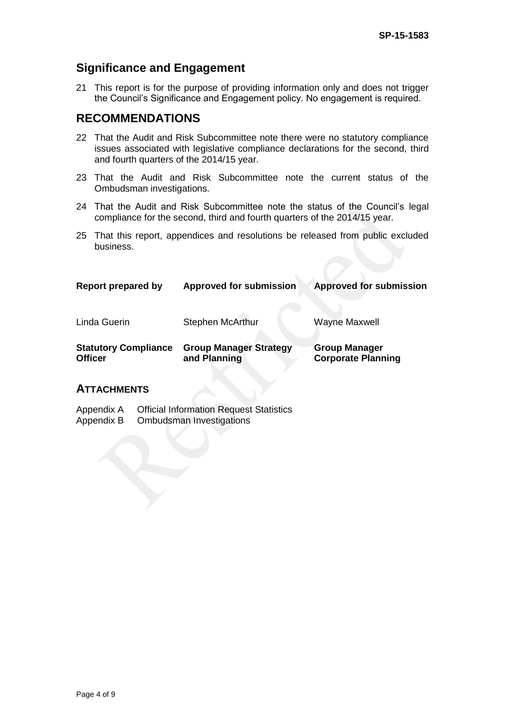# **Significance and Engagement**

21 This report is for the purpose of providing information only and does not trigger the Council's Significance and Engagement policy. No engagement is required.

# **RECOMMENDATIONS**

- 22 That the Audit and Risk Subcommittee note there were no statutory compliance issues associated with legislative compliance declarations for the second, third and fourth quarters of the 2014/15 year.
- 23 That the Audit and Risk Subcommittee note the current status of the Ombudsman investigations.
- 24 That the Audit and Risk Subcommittee note the status of the Council's legal compliance for the second, third and fourth quarters of the 2014/15 year.
- 25 That this report, appendices and resolutions be released from public excluded business.

| Report prepared by                            | <b>Approved for submission</b>                | <b>Approved for submission</b>                    |  |
|-----------------------------------------------|-----------------------------------------------|---------------------------------------------------|--|
| Linda Guerin                                  | <b>Stephen McArthur</b>                       | <b>Wayne Maxwell</b>                              |  |
| <b>Statutory Compliance</b><br><b>Officer</b> | <b>Group Manager Strategy</b><br>and Planning | <b>Group Manager</b><br><b>Corporate Planning</b> |  |

## **ATTACHMENTS**

| Appendix A | <b>Official Information Request Statistics</b> |
|------------|------------------------------------------------|
| Appendix B | Ombudsman Investigations                       |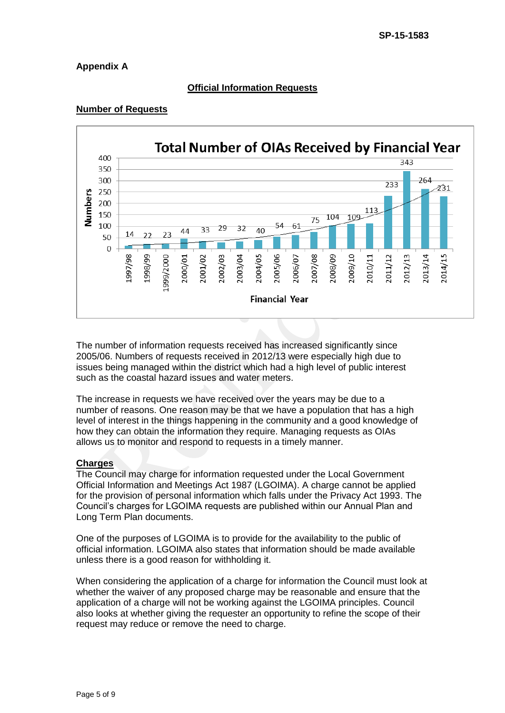## **Appendix A**

## **Official Information Requests**

#### **Number of Requests**



The number of information requests received has increased significantly since 2005/06. Numbers of requests received in 2012/13 were especially high due to issues being managed within the district which had a high level of public interest such as the coastal hazard issues and water meters.

The increase in requests we have received over the years may be due to a number of reasons. One reason may be that we have a population that has a high level of interest in the things happening in the community and a good knowledge of how they can obtain the information they require. Managing requests as OIAs allows us to monitor and respond to requests in a timely manner.

#### **Charges**

The Council may charge for information requested under the Local Government Official Information and Meetings Act 1987 (LGOIMA). A charge cannot be applied for the provision of personal information which falls under the Privacy Act 1993. The Council's charges for LGOIMA requests are published within our Annual Plan and Long Term Plan documents.

One of the purposes of LGOIMA is to provide for the availability to the public of official information. LGOIMA also states that information should be made available unless there is a good reason for withholding it.

When considering the application of a charge for information the Council must look at whether the waiver of any proposed charge may be reasonable and ensure that the application of a charge will not be working against the LGOIMA principles. Council also looks at whether giving the requester an opportunity to refine the scope of their request may reduce or remove the need to charge.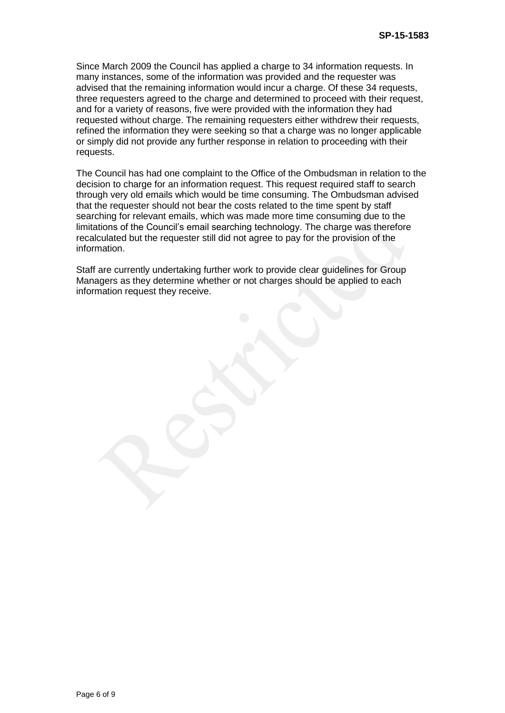Since March 2009 the Council has applied a charge to 34 information requests. In many instances, some of the information was provided and the requester was advised that the remaining information would incur a charge. Of these 34 requests, three requesters agreed to the charge and determined to proceed with their request, and for a variety of reasons, five were provided with the information they had requested without charge. The remaining requesters either withdrew their requests, refined the information they were seeking so that a charge was no longer applicable or simply did not provide any further response in relation to proceeding with their requests.

The Council has had one complaint to the Office of the Ombudsman in relation to the decision to charge for an information request. This request required staff to search through very old emails which would be time consuming. The Ombudsman advised that the requester should not bear the costs related to the time spent by staff searching for relevant emails, which was made more time consuming due to the limitations of the Council's email searching technology. The charge was therefore recalculated but the requester still did not agree to pay for the provision of the information.

Staff are currently undertaking further work to provide clear guidelines for Group Managers as they determine whether or not charges should be applied to each information request they receive.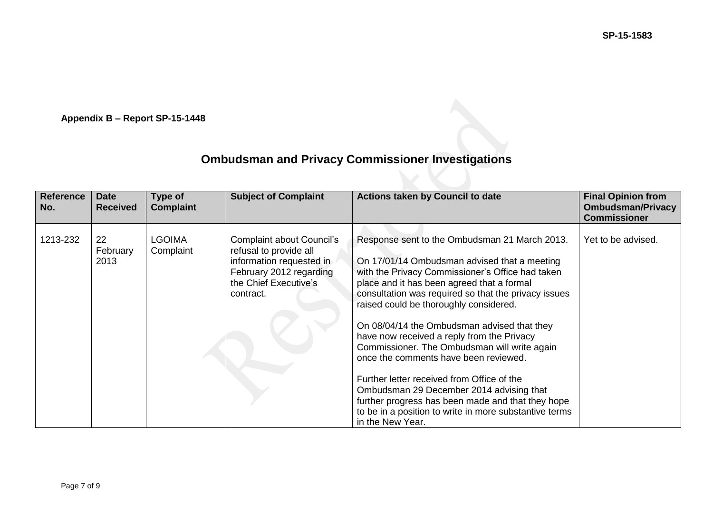**SP-15-1583**

**Appendix B – Report SP-15-1448**

# **Ombudsman and Privacy Commissioner Investigations**

| <b>Reference</b><br>No. | <b>Date</b><br><b>Received</b> | Type of<br><b>Complaint</b> | <b>Subject of Complaint</b>                                                                                                                      | Actions taken by Council to date                                                                                                                                                                                                                                                                                                                                                                                                                                                                                                                                                                                                                                                                                     | <b>Final Opinion from</b><br><b>Ombudsman/Privacy</b><br><b>Commissioner</b> |
|-------------------------|--------------------------------|-----------------------------|--------------------------------------------------------------------------------------------------------------------------------------------------|----------------------------------------------------------------------------------------------------------------------------------------------------------------------------------------------------------------------------------------------------------------------------------------------------------------------------------------------------------------------------------------------------------------------------------------------------------------------------------------------------------------------------------------------------------------------------------------------------------------------------------------------------------------------------------------------------------------------|------------------------------------------------------------------------------|
| 1213-232                | 22<br>February<br>2013         | <b>LGOIMA</b><br>Complaint  | Complaint about Council's<br>refusal to provide all<br>information requested in<br>February 2012 regarding<br>the Chief Executive's<br>contract. | Response sent to the Ombudsman 21 March 2013.<br>On 17/01/14 Ombudsman advised that a meeting<br>with the Privacy Commissioner's Office had taken<br>place and it has been agreed that a formal<br>consultation was required so that the privacy issues<br>raised could be thoroughly considered.<br>On 08/04/14 the Ombudsman advised that they<br>have now received a reply from the Privacy<br>Commissioner. The Ombudsman will write again<br>once the comments have been reviewed.<br>Further letter received from Office of the<br>Ombudsman 29 December 2014 advising that<br>further progress has been made and that they hope<br>to be in a position to write in more substantive terms<br>in the New Year. | Yet to be advised.                                                           |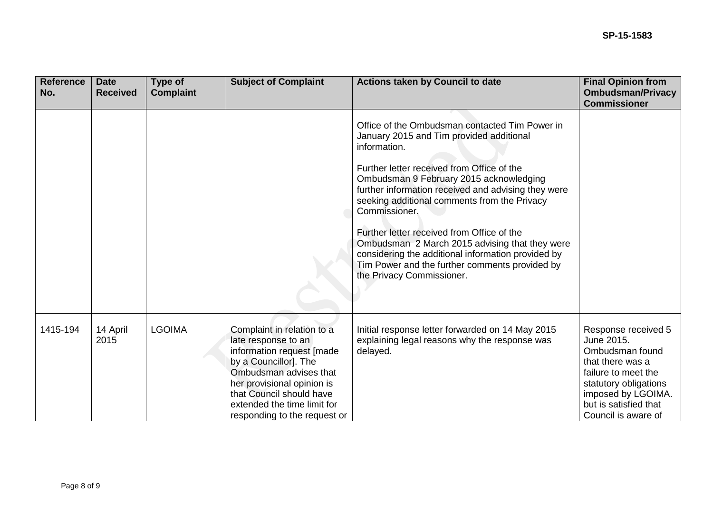| <b>Reference</b><br>No. | <b>Date</b><br><b>Received</b> | Type of<br><b>Complaint</b> | <b>Subject of Complaint</b>                                                                                                                                                                                                                                | <b>Actions taken by Council to date</b>                                                                                                                                                                                                                                                                                                                                                                                                                                                                                                                          | <b>Final Opinion from</b><br><b>Ombudsman/Privacy</b><br><b>Commissioner</b>                                                                                                                   |
|-------------------------|--------------------------------|-----------------------------|------------------------------------------------------------------------------------------------------------------------------------------------------------------------------------------------------------------------------------------------------------|------------------------------------------------------------------------------------------------------------------------------------------------------------------------------------------------------------------------------------------------------------------------------------------------------------------------------------------------------------------------------------------------------------------------------------------------------------------------------------------------------------------------------------------------------------------|------------------------------------------------------------------------------------------------------------------------------------------------------------------------------------------------|
|                         |                                |                             |                                                                                                                                                                                                                                                            | Office of the Ombudsman contacted Tim Power in<br>January 2015 and Tim provided additional<br>information.<br>Further letter received from Office of the<br>Ombudsman 9 February 2015 acknowledging<br>further information received and advising they were<br>seeking additional comments from the Privacy<br>Commissioner.<br>Further letter received from Office of the<br>Ombudsman 2 March 2015 advising that they were<br>considering the additional information provided by<br>Tim Power and the further comments provided by<br>the Privacy Commissioner. |                                                                                                                                                                                                |
| 1415-194                | 14 April<br>2015               | <b>LGOIMA</b>               | Complaint in relation to a<br>late response to an<br>information request [made<br>by a Councillor]. The<br>Ombudsman advises that<br>her provisional opinion is<br>that Council should have<br>extended the time limit for<br>responding to the request or | Initial response letter forwarded on 14 May 2015<br>explaining legal reasons why the response was<br>delayed.                                                                                                                                                                                                                                                                                                                                                                                                                                                    | Response received 5<br>June 2015.<br>Ombudsman found<br>that there was a<br>failure to meet the<br>statutory obligations<br>imposed by LGOIMA.<br>but is satisfied that<br>Council is aware of |